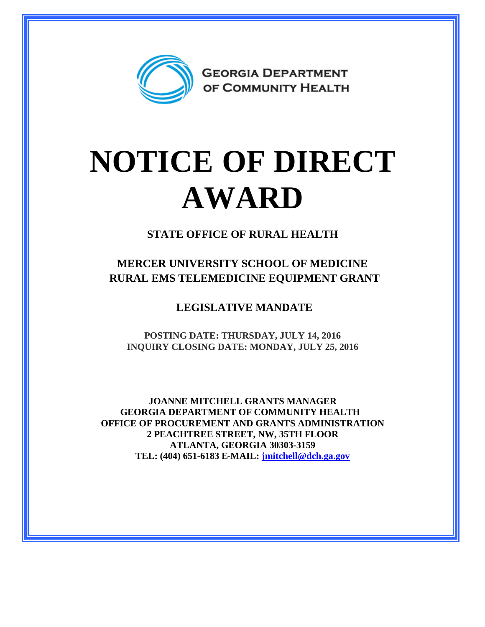

## **NOTICE OF DIRECT AWARD**

**STATE OFFICE OF RURAL HEALTH**

**MERCER UNIVERSITY SCHOOL OF MEDICINE RURAL EMS TELEMEDICINE EQUIPMENT GRANT** 

**LEGISLATIVE MANDATE**

**POSTING DATE: THURSDAY, JULY 14, 2016 INQUIRY CLOSING DATE: MONDAY, JULY 25, 2016**

**JOANNE MITCHELL GRANTS MANAGER GEORGIA DEPARTMENT OF COMMUNITY HEALTH OFFICE OF PROCUREMENT AND GRANTS ADMINISTRATION 2 PEACHTREE STREET, NW, 35TH FLOOR ATLANTA, GEORGIA 30303-3159 TEL: (404) 651-6183 E-MAIL: [jmitchell@dch.ga.gov](mailto:jmitchell@dch.ga.gov)**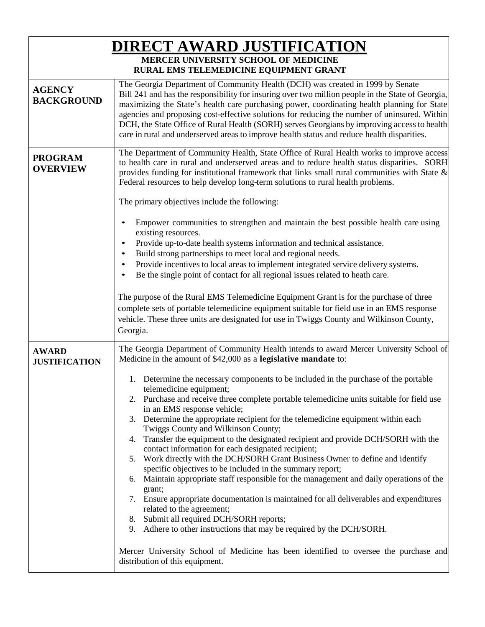| <b>DIRECT AWARD JUSTIFICATION</b>    |                                                                                                                                                                                                                                                                                                                                                                                                                                                                                                                                                                                                                                                                                                                                                                                                                                                                                                                                                                                                                                                                                                                                                                                                  |
|--------------------------------------|--------------------------------------------------------------------------------------------------------------------------------------------------------------------------------------------------------------------------------------------------------------------------------------------------------------------------------------------------------------------------------------------------------------------------------------------------------------------------------------------------------------------------------------------------------------------------------------------------------------------------------------------------------------------------------------------------------------------------------------------------------------------------------------------------------------------------------------------------------------------------------------------------------------------------------------------------------------------------------------------------------------------------------------------------------------------------------------------------------------------------------------------------------------------------------------------------|
|                                      | MERCER UNIVERSITY SCHOOL OF MEDICINE<br>RURAL EMS TELEMEDICINE EQUIPMENT GRANT                                                                                                                                                                                                                                                                                                                                                                                                                                                                                                                                                                                                                                                                                                                                                                                                                                                                                                                                                                                                                                                                                                                   |
| <b>AGENCY</b><br><b>BACKGROUND</b>   | The Georgia Department of Community Health (DCH) was created in 1999 by Senate<br>Bill 241 and has the responsibility for insuring over two million people in the State of Georgia,<br>maximizing the State's health care purchasing power, coordinating health planning for State<br>agencies and proposing cost-effective solutions for reducing the number of uninsured. Within<br>DCH, the State Office of Rural Health (SORH) serves Georgians by improving access to health<br>care in rural and underserved areas to improve health status and reduce health disparities.                                                                                                                                                                                                                                                                                                                                                                                                                                                                                                                                                                                                                 |
| <b>PROGRAM</b><br><b>OVERVIEW</b>    | The Department of Community Health, State Office of Rural Health works to improve access<br>to health care in rural and underserved areas and to reduce health status disparities. SORH<br>provides funding for institutional framework that links small rural communities with State &<br>Federal resources to help develop long-term solutions to rural health problems.<br>The primary objectives include the following:<br>Empower communities to strengthen and maintain the best possible health care using<br>existing resources.<br>Provide up-to-date health systems information and technical assistance.<br>Build strong partnerships to meet local and regional needs.<br>Provide incentives to local areas to implement integrated service delivery systems.<br>Be the single point of contact for all regional issues related to heath care.<br>The purpose of the Rural EMS Telemedicine Equipment Grant is for the purchase of three<br>complete sets of portable telemedicine equipment suitable for field use in an EMS response<br>vehicle. These three units are designated for use in Twiggs County and Wilkinson County,<br>Georgia.                                       |
| <b>AWARD</b><br><b>JUSTIFICATION</b> | The Georgia Department of Community Health intends to award Mercer University School of<br>Medicine in the amount of \$42,000 as a legislative mandate to:<br>Determine the necessary components to be included in the purchase of the portable<br>1.<br>telemedicine equipment;<br>2. Purchase and receive three complete portable telemedicine units suitable for field use<br>in an EMS response vehicle;<br>Determine the appropriate recipient for the telemedicine equipment within each<br>3.<br>Twiggs County and Wilkinson County;<br>Transfer the equipment to the designated recipient and provide DCH/SORH with the<br>4.<br>contact information for each designated recipient;<br>5. Work directly with the DCH/SORH Grant Business Owner to define and identify<br>specific objectives to be included in the summary report;<br>Maintain appropriate staff responsible for the management and daily operations of the<br>6.<br>grant;<br>7. Ensure appropriate documentation is maintained for all deliverables and expenditures<br>related to the agreement;<br>8. Submit all required DCH/SORH reports;<br>9. Adhere to other instructions that may be required by the DCH/SORH. |
|                                      | Mercer University School of Medicine has been identified to oversee the purchase and<br>distribution of this equipment.                                                                                                                                                                                                                                                                                                                                                                                                                                                                                                                                                                                                                                                                                                                                                                                                                                                                                                                                                                                                                                                                          |